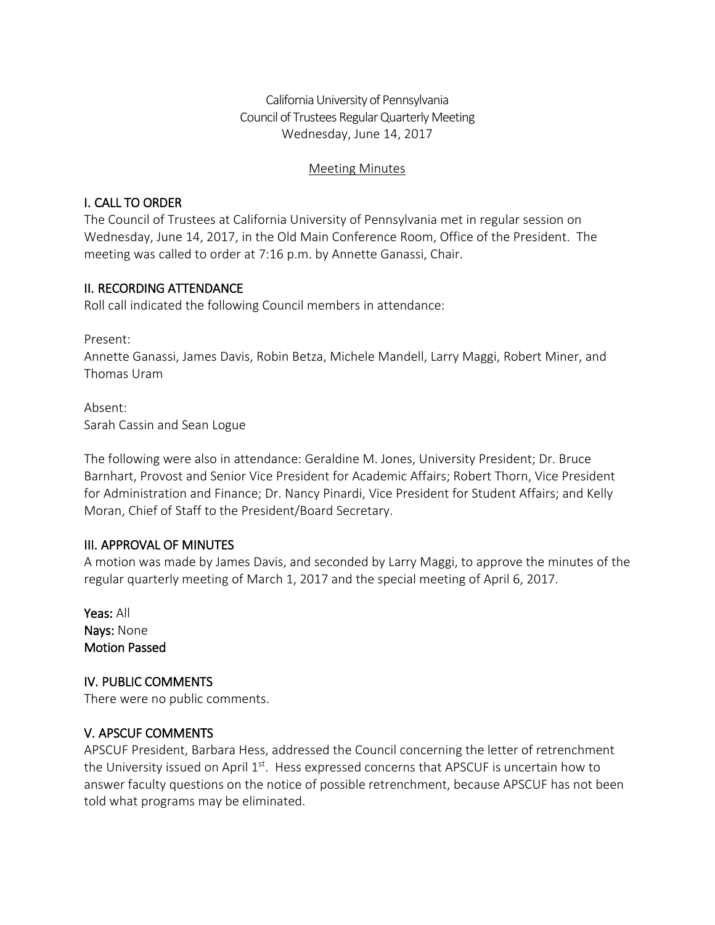California University of Pennsylvania Council of Trustees Regular Quarterly Meeting Wednesday, June 14, 2017

#### Meeting Minutes

### I. CALL TO ORDER

The Council of Trustees at California University of Pennsylvania met in regular session on Wednesday, June 14, 2017, in the Old Main Conference Room, Office of the President. The meeting was called to order at 7:16 p.m. by Annette Ganassi, Chair.

## II. RECORDING ATTENDANCE

Roll call indicated the following Council members in attendance:

Present:

Annette Ganassi, James Davis, Robin Betza, Michele Mandell, Larry Maggi, Robert Miner, and Thomas Uram

Absent: Sarah Cassin and Sean Logue

The following were also in attendance: Geraldine M. Jones, University President; Dr. Bruce Barnhart, Provost and Senior Vice President for Academic Affairs; Robert Thorn, Vice President for Administration and Finance; Dr. Nancy Pinardi, Vice President for Student Affairs; and Kelly Moran, Chief of Staff to the President/Board Secretary.

#### III. APPROVAL OF MINUTES

A motion was made by James Davis, and seconded by Larry Maggi, to approve the minutes of the regular quarterly meeting of March 1, 2017 and the special meeting of April 6, 2017.

Yeas: All Nays: None Motion Passed

IV. PUBLIC COMMENTS There were no public comments.

#### V. APSCUF COMMENTS

APSCUF President, Barbara Hess, addressed the Council concerning the letter of retrenchment the University issued on April  $1<sup>st</sup>$ . Hess expressed concerns that APSCUF is uncertain how to answer faculty questions on the notice of possible retrenchment, because APSCUF has not been told what programs may be eliminated.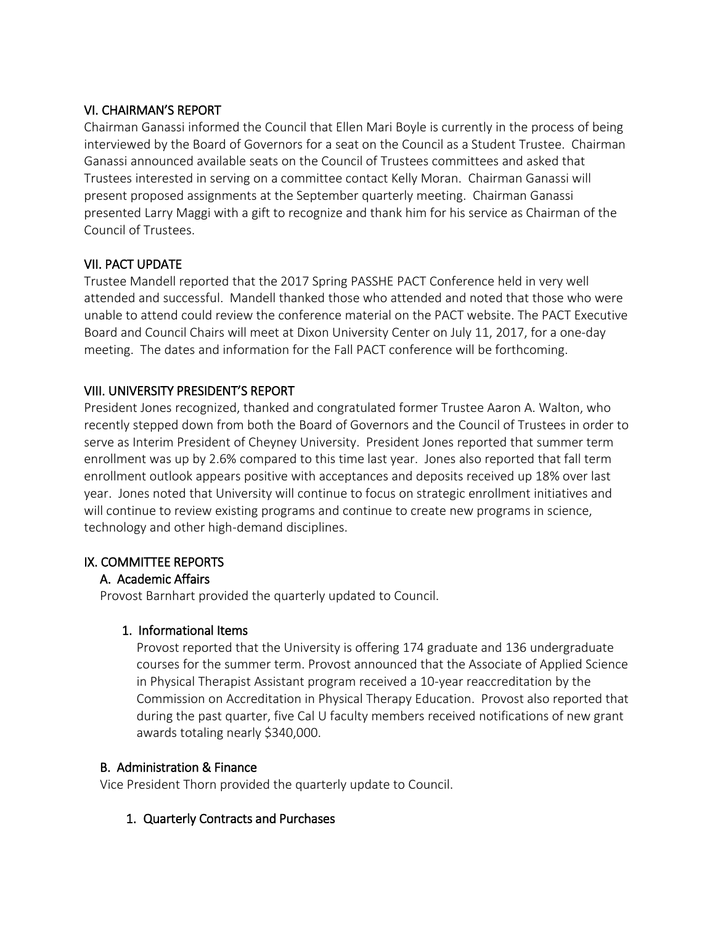### VI. CHAIRMAN'S REPORT

Chairman Ganassi informed the Council that Ellen Mari Boyle is currently in the process of being interviewed by the Board of Governors for a seat on the Council as a Student Trustee. Chairman Ganassi announced available seats on the Council of Trustees committees and asked that Trustees interested in serving on a committee contact Kelly Moran. Chairman Ganassi will present proposed assignments at the September quarterly meeting. Chairman Ganassi presented Larry Maggi with a gift to recognize and thank him for his service as Chairman of the Council of Trustees.

## VII. PACT UPDATE

Trustee Mandell reported that the 2017 Spring PASSHE PACT Conference held in very well attended and successful. Mandell thanked those who attended and noted that those who were unable to attend could review the conference material on the PACT website. The PACT Executive Board and Council Chairs will meet at Dixon University Center on July 11, 2017, for a one-day meeting. The dates and information for the Fall PACT conference will be forthcoming.

## VIII. UNIVERSITY PRESIDENT'S REPORT

President Jones recognized, thanked and congratulated former Trustee Aaron A. Walton, who recently stepped down from both the Board of Governors and the Council of Trustees in order to serve as Interim President of Cheyney University. President Jones reported that summer term enrollment was up by 2.6% compared to this time last year. Jones also reported that fall term enrollment outlook appears positive with acceptances and deposits received up 18% over last year. Jones noted that University will continue to focus on strategic enrollment initiatives and will continue to review existing programs and continue to create new programs in science, technology and other high-demand disciplines.

#### IX. COMMITTEE REPORTS

# A. Academic Affairs

Provost Barnhart provided the quarterly updated to Council.

#### 1. Informational Items

Provost reported that the University is offering 174 graduate and 136 undergraduate courses for the summer term. Provost announced that the Associate of Applied Science in Physical Therapist Assistant program received a 10-year reaccreditation by the Commission on Accreditation in Physical Therapy Education. Provost also reported that during the past quarter, five Cal U faculty members received notifications of new grant awards totaling nearly \$340,000.

#### B. Administration & Finance

Vice President Thorn provided the quarterly update to Council.

#### 1. Quarterly Contracts and Purchases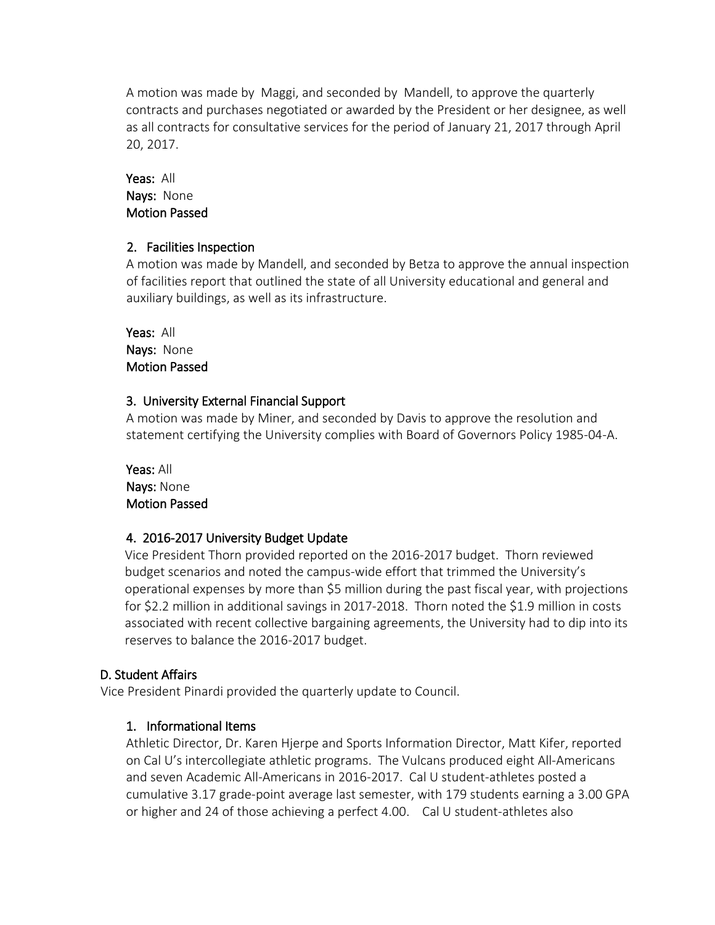A motion was made by Maggi, and seconded by Mandell, to approve the quarterly contracts and purchases negotiated or awarded by the President or her designee, as well as all contracts for consultative services for the period of January 21, 2017 through April 20, 2017.

### Yeas: All Nays: None Motion Passed

#### 2. Facilities Inspection

A motion was made by Mandell, and seconded by Betza to approve the annual inspection of facilities report that outlined the state of all University educational and general and auxiliary buildings, as well as its infrastructure.

Yeas: All Nays: None Motion Passed

## 3. University External Financial Support

A motion was made by Miner, and seconded by Davis to approve the resolution and statement certifying the University complies with Board of Governors Policy 1985-04-A.

Yeas: All Nays: None Motion Passed

# 4. 2016-2017 University Budget Update

Vice President Thorn provided reported on the 2016-2017 budget. Thorn reviewed budget scenarios and noted the campus-wide effort that trimmed the University's operational expenses by more than \$5 million during the past fiscal year, with projections for \$2.2 million in additional savings in 2017-2018. Thorn noted the \$1.9 million in costs associated with recent collective bargaining agreements, the University had to dip into its reserves to balance the 2016-2017 budget.

# D. Student Affairs

Vice President Pinardi provided the quarterly update to Council.

# 1. Informational Items

Athletic Director, Dr. Karen Hjerpe and Sports Information Director, Matt Kifer, reported on Cal U's intercollegiate athletic programs. The Vulcans produced eight All-Americans and seven Academic All-Americans in 2016-2017. Cal U student-athletes posted a cumulative 3.17 grade-point average last semester, with 179 students earning a 3.00 GPA or higher and 24 of those achieving a perfect 4.00. Cal U student-athletes also